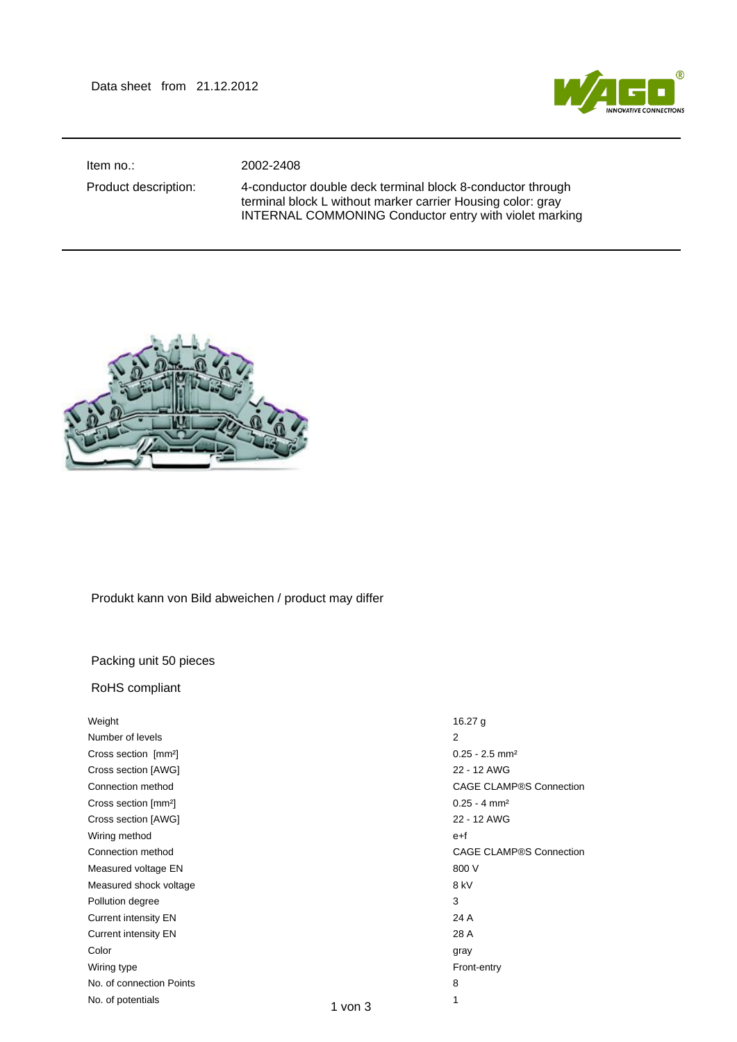

Item no.: 2002-2408

Product description: 4-conductor double deck terminal block 8-conductor through terminal block L without marker carrier Housing color: gray INTERNAL COMMONING Conductor entry with violet marking



## Produkt kann von Bild abweichen / product may differ

## Packing unit 50 pieces

## RoHS compliant

| Weight                           |             | 16.27 $g$                      |
|----------------------------------|-------------|--------------------------------|
| Number of levels                 |             | 2                              |
| Cross section [mm <sup>2</sup> ] |             | $0.25 - 2.5$ mm <sup>2</sup>   |
| Cross section [AWG]              |             | 22 - 12 AWG                    |
| Connection method                |             | <b>CAGE CLAMP®S Connection</b> |
| Cross section [mm <sup>2</sup> ] |             | $0.25 - 4$ mm <sup>2</sup>     |
| Cross section [AWG]              |             | 22 - 12 AWG                    |
| Wiring method                    |             | e+f                            |
| Connection method                |             | CAGE CLAMP®S Connection        |
| Measured voltage EN              |             | 800 V                          |
| Measured shock voltage           |             | 8 kV                           |
| Pollution degree                 |             | 3                              |
| <b>Current intensity EN</b>      |             | 24 A                           |
| <b>Current intensity EN</b>      |             | 28 A                           |
| Color                            |             | gray                           |
| Wiring type                      |             | Front-entry                    |
| No. of connection Points         |             | 8                              |
| No. of potentials                | $1$ von $3$ | 1                              |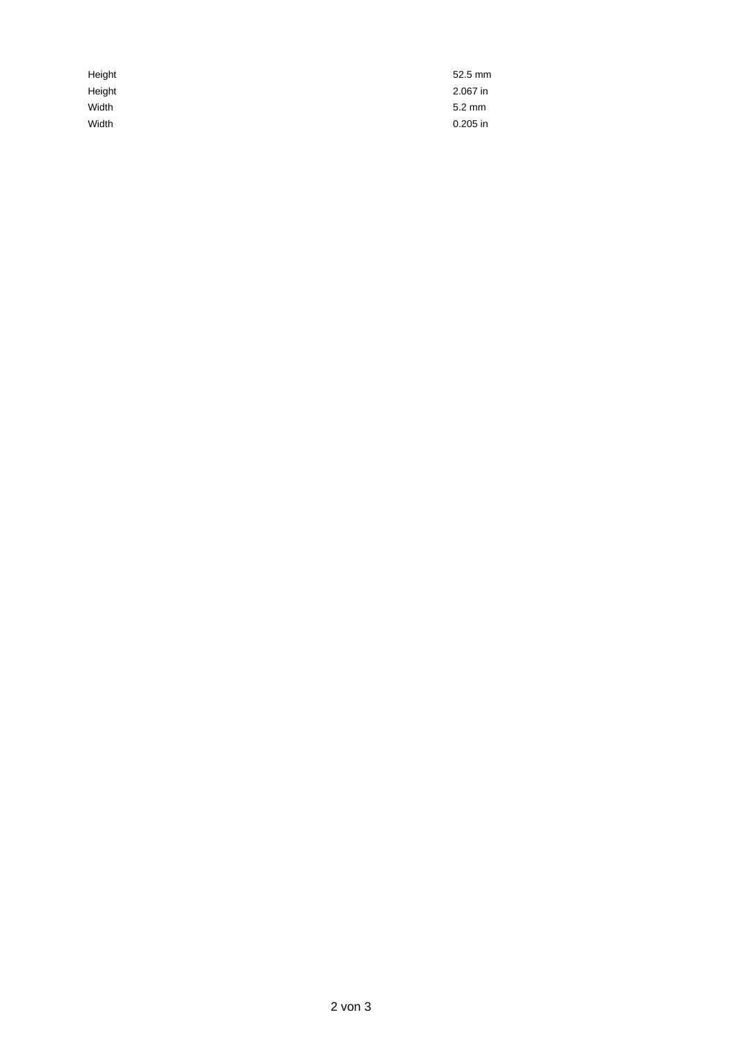| Height | 52.5 mm    |
|--------|------------|
| Height | 2.067 in   |
| Width  | 5.2 mm     |
| Width  | $0.205$ in |
|        |            |